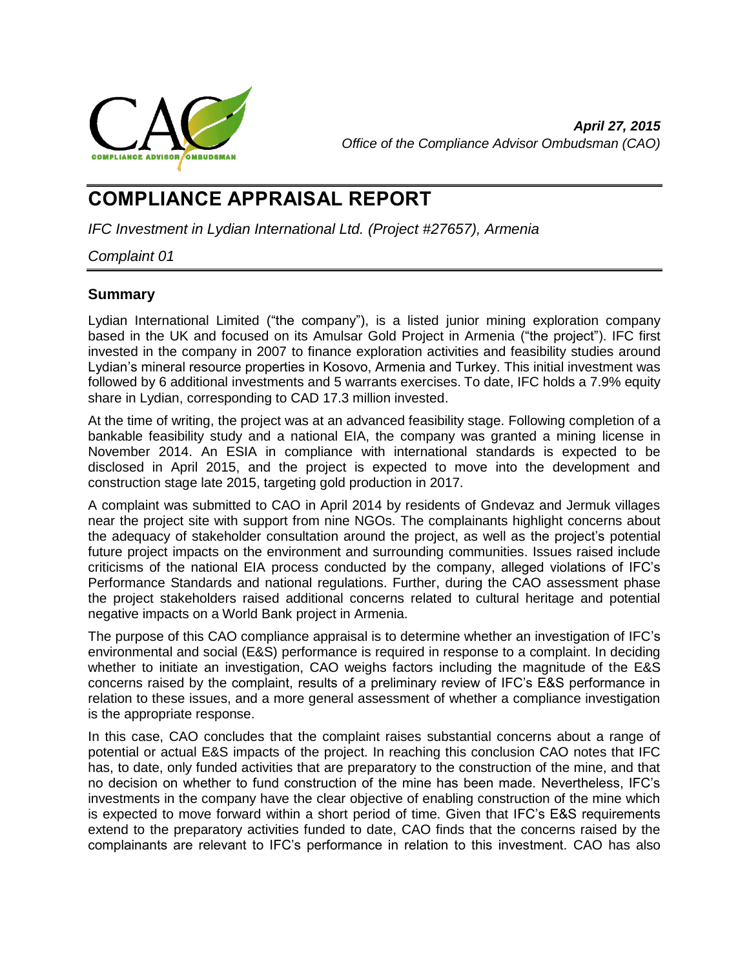

# **COMPLIANCE APPRAISAL REPORT**

*IFC Investment in Lydian International Ltd. (Project #27657), Armenia*

## *Complaint 01*

## <span id="page-0-0"></span>**Summary**

Lydian International Limited ("the company"), is a listed junior mining exploration company based in the UK and focused on its Amulsar Gold Project in Armenia ("the project"). IFC first invested in the company in 2007 to finance exploration activities and feasibility studies around Lydian's mineral resource properties in Kosovo, Armenia and Turkey. This initial investment was followed by 6 additional investments and 5 warrants exercises. To date, IFC holds a 7.9% equity share in Lydian, corresponding to CAD 17.3 million invested.

At the time of writing, the project was at an advanced feasibility stage. Following completion of a bankable feasibility study and a national EIA, the company was granted a mining license in November 2014. An ESIA in compliance with international standards is expected to be disclosed in April 2015, and the project is expected to move into the development and construction stage late 2015, targeting gold production in 2017.

A complaint was submitted to CAO in April 2014 by residents of Gndevaz and Jermuk villages near the project site with support from nine NGOs. The complainants highlight concerns about the adequacy of stakeholder consultation around the project, as well as the project's potential future project impacts on the environment and surrounding communities. Issues raised include criticisms of the national EIA process conducted by the company, alleged violations of IFC's Performance Standards and national regulations. Further, during the CAO assessment phase the project stakeholders raised additional concerns related to cultural heritage and potential negative impacts on a World Bank project in Armenia.

The purpose of this CAO compliance appraisal is to determine whether an investigation of IFC's environmental and social (E&S) performance is required in response to a complaint. In deciding whether to initiate an investigation, CAO weighs factors including the magnitude of the E&S concerns raised by the complaint, results of a preliminary review of IFC's E&S performance in relation to these issues, and a more general assessment of whether a compliance investigation is the appropriate response.

In this case, CAO concludes that the complaint raises substantial concerns about a range of potential or actual E&S impacts of the project. In reaching this conclusion CAO notes that IFC has, to date, only funded activities that are preparatory to the construction of the mine, and that no decision on whether to fund construction of the mine has been made. Nevertheless, IFC's investments in the company have the clear objective of enabling construction of the mine which is expected to move forward within a short period of time. Given that IFC's E&S requirements extend to the preparatory activities funded to date, CAO finds that the concerns raised by the complainants are relevant to IFC's performance in relation to this investment. CAO has also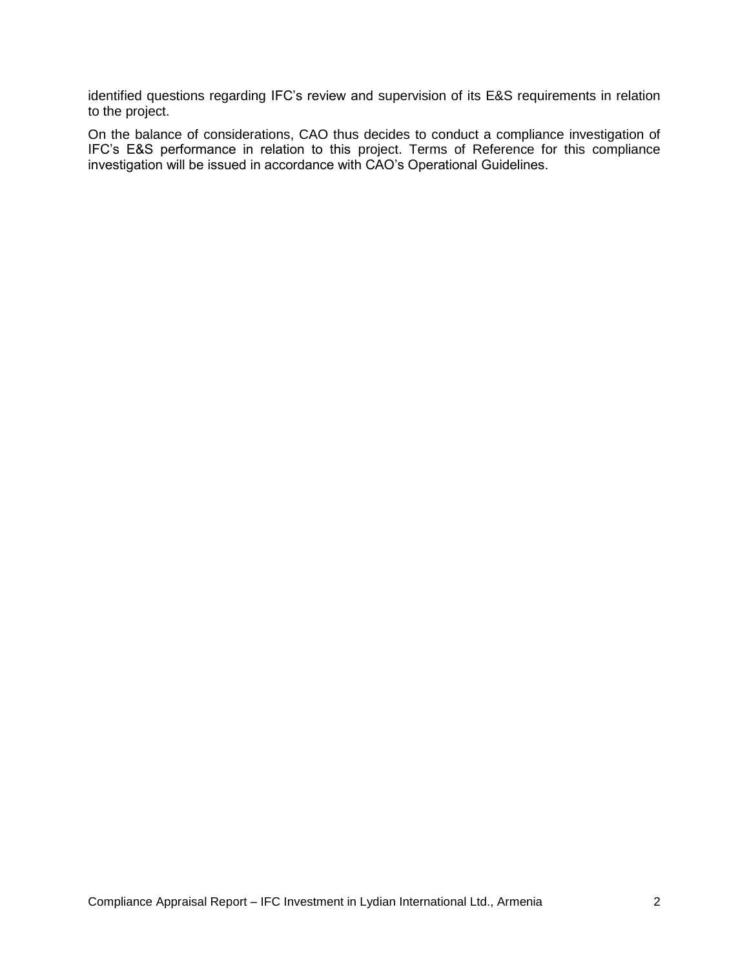identified questions regarding IFC's review and supervision of its E&S requirements in relation to the project.

On the balance of considerations, CAO thus decides to conduct a compliance investigation of IFC's E&S performance in relation to this project. Terms of Reference for this compliance investigation will be issued in accordance with CAO's Operational Guidelines.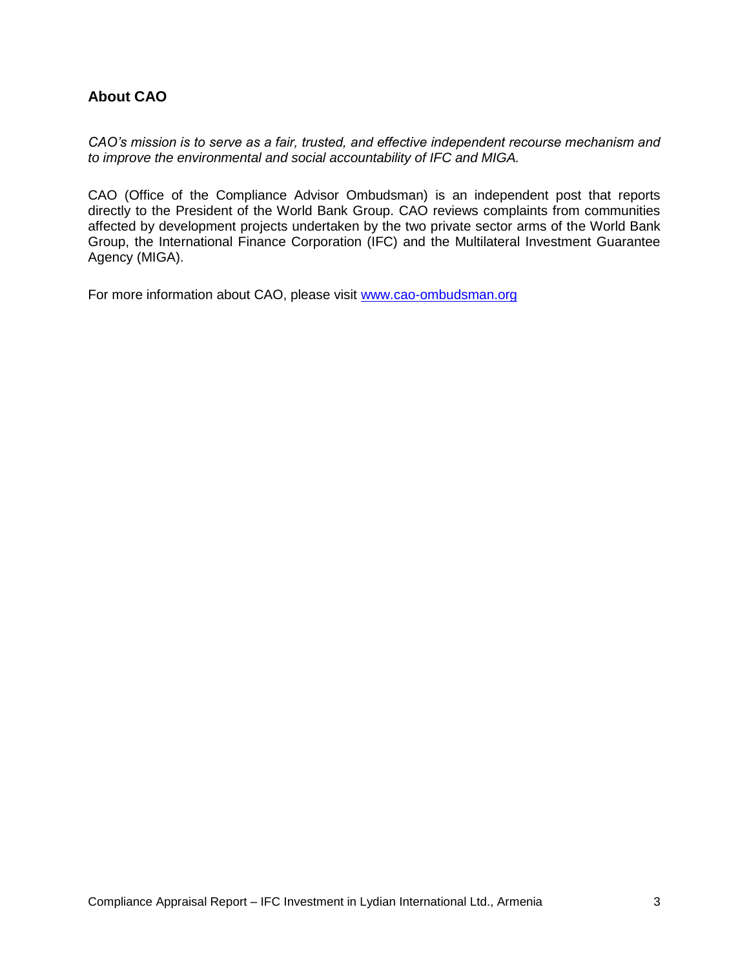## **About CAO**

*CAO's mission is to serve as a fair, trusted, and effective independent recourse mechanism and to improve the environmental and social accountability of IFC and MIGA.*

CAO (Office of the Compliance Advisor Ombudsman) is an independent post that reports directly to the President of the World Bank Group. CAO reviews complaints from communities affected by development projects undertaken by the two private sector arms of the World Bank Group, the International Finance Corporation (IFC) and the Multilateral Investment Guarantee Agency (MIGA).

For more information about CAO, please visit [www.cao-ombudsman.org](http://www.cao-ombudsman.org/)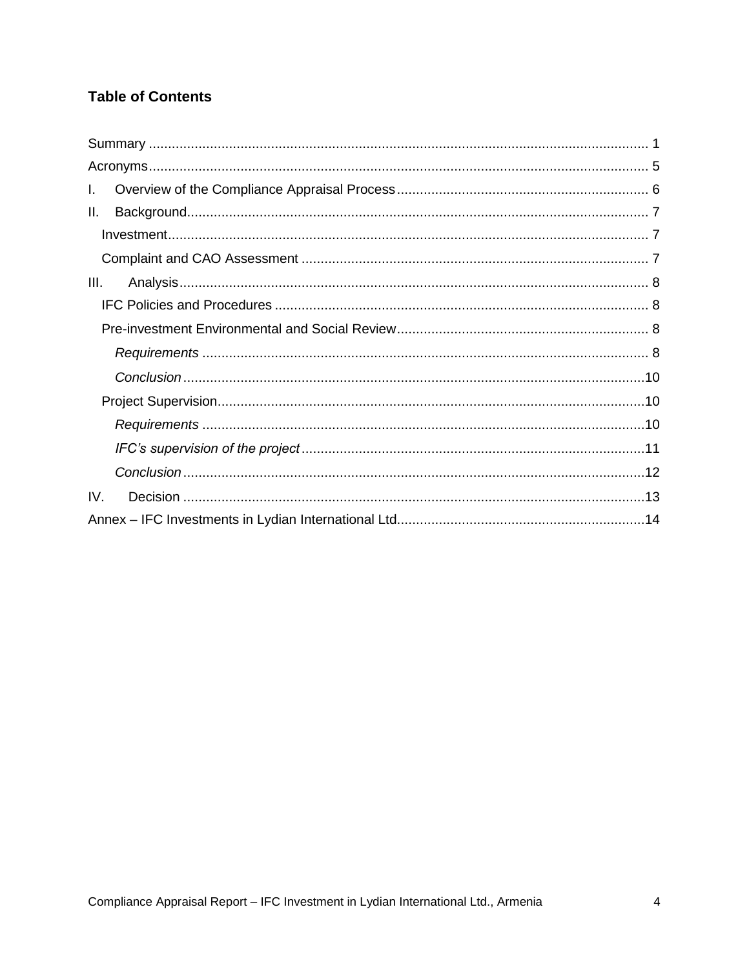## **Table of Contents**

| L.   |  |
|------|--|
| Ш.   |  |
|      |  |
|      |  |
| III. |  |
|      |  |
|      |  |
|      |  |
|      |  |
|      |  |
|      |  |
|      |  |
|      |  |
| IV.  |  |
|      |  |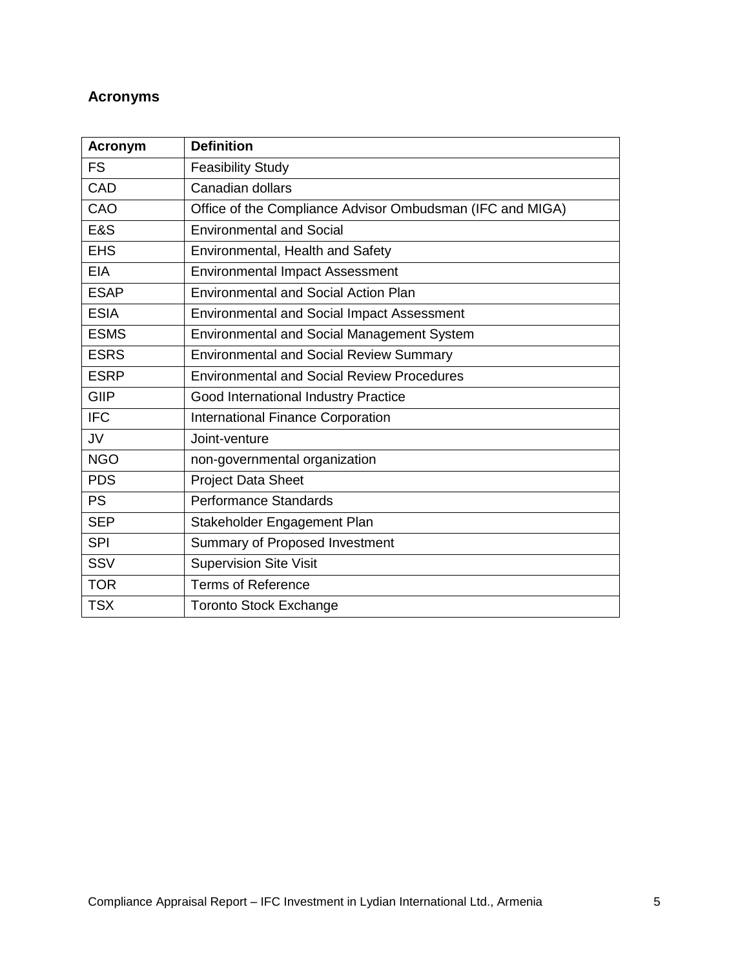## <span id="page-4-0"></span>**Acronyms**

| <b>Acronym</b> | <b>Definition</b>                                         |
|----------------|-----------------------------------------------------------|
| <b>FS</b>      | <b>Feasibility Study</b>                                  |
| CAD            | Canadian dollars                                          |
| CAO            | Office of the Compliance Advisor Ombudsman (IFC and MIGA) |
| <b>E&amp;S</b> | <b>Environmental and Social</b>                           |
| <b>EHS</b>     | Environmental, Health and Safety                          |
| <b>EIA</b>     | <b>Environmental Impact Assessment</b>                    |
| <b>ESAP</b>    | <b>Environmental and Social Action Plan</b>               |
| <b>ESIA</b>    | <b>Environmental and Social Impact Assessment</b>         |
| <b>ESMS</b>    | <b>Environmental and Social Management System</b>         |
| <b>ESRS</b>    | <b>Environmental and Social Review Summary</b>            |
| <b>ESRP</b>    | <b>Environmental and Social Review Procedures</b>         |
| GIIP           | Good International Industry Practice                      |
| <b>IFC</b>     | <b>International Finance Corporation</b>                  |
| <b>JV</b>      | Joint-venture                                             |
| <b>NGO</b>     | non-governmental organization                             |
| <b>PDS</b>     | <b>Project Data Sheet</b>                                 |
| <b>PS</b>      | <b>Performance Standards</b>                              |
| <b>SEP</b>     | Stakeholder Engagement Plan                               |
| <b>SPI</b>     | Summary of Proposed Investment                            |
| SSV            | <b>Supervision Site Visit</b>                             |
| <b>TOR</b>     | <b>Terms of Reference</b>                                 |
| <b>TSX</b>     | <b>Toronto Stock Exchange</b>                             |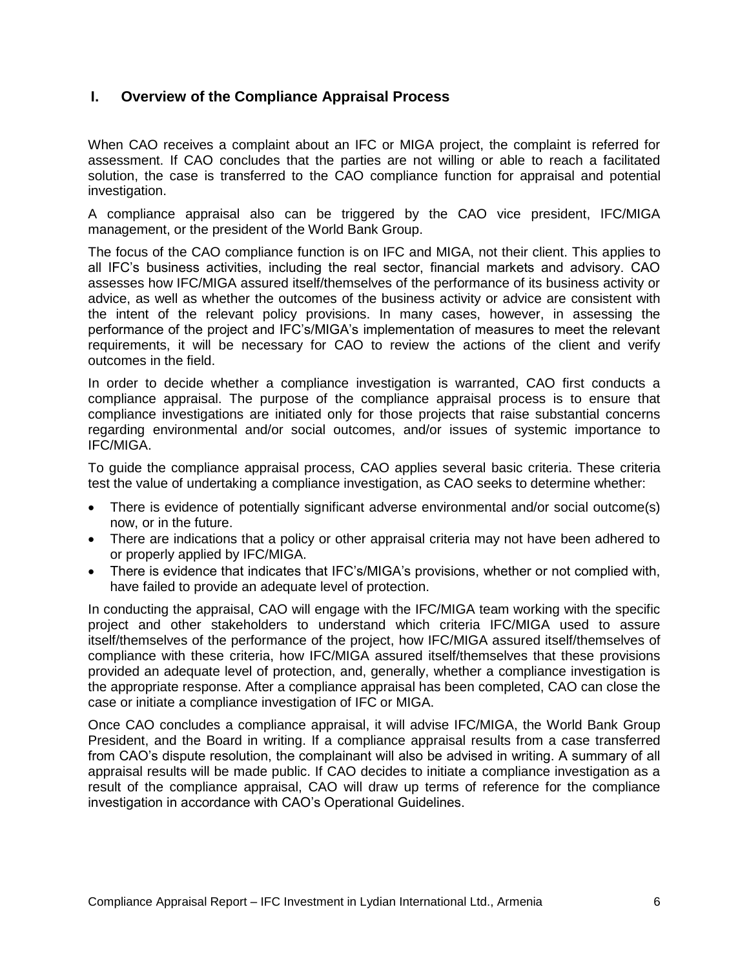## <span id="page-5-0"></span>**I. Overview of the Compliance Appraisal Process**

When CAO receives a complaint about an IFC or MIGA project, the complaint is referred for assessment. If CAO concludes that the parties are not willing or able to reach a facilitated solution, the case is transferred to the CAO compliance function for appraisal and potential investigation.

A compliance appraisal also can be triggered by the CAO vice president, IFC/MIGA management, or the president of the World Bank Group.

The focus of the CAO compliance function is on IFC and MIGA, not their client. This applies to all IFC's business activities, including the real sector, financial markets and advisory. CAO assesses how IFC/MIGA assured itself/themselves of the performance of its business activity or advice, as well as whether the outcomes of the business activity or advice are consistent with the intent of the relevant policy provisions. In many cases, however, in assessing the performance of the project and IFC's/MIGA's implementation of measures to meet the relevant requirements, it will be necessary for CAO to review the actions of the client and verify outcomes in the field.

In order to decide whether a compliance investigation is warranted, CAO first conducts a compliance appraisal. The purpose of the compliance appraisal process is to ensure that compliance investigations are initiated only for those projects that raise substantial concerns regarding environmental and/or social outcomes, and/or issues of systemic importance to IFC/MIGA.

To guide the compliance appraisal process, CAO applies several basic criteria. These criteria test the value of undertaking a compliance investigation, as CAO seeks to determine whether:

- There is evidence of potentially significant adverse environmental and/or social outcome(s) now, or in the future.
- There are indications that a policy or other appraisal criteria may not have been adhered to or properly applied by IFC/MIGA.
- There is evidence that indicates that IFC's/MIGA's provisions, whether or not complied with, have failed to provide an adequate level of protection.

In conducting the appraisal, CAO will engage with the IFC/MIGA team working with the specific project and other stakeholders to understand which criteria IFC/MIGA used to assure itself/themselves of the performance of the project, how IFC/MIGA assured itself/themselves of compliance with these criteria, how IFC/MIGA assured itself/themselves that these provisions provided an adequate level of protection, and, generally, whether a compliance investigation is the appropriate response. After a compliance appraisal has been completed, CAO can close the case or initiate a compliance investigation of IFC or MIGA.

Once CAO concludes a compliance appraisal, it will advise IFC/MIGA, the World Bank Group President, and the Board in writing. If a compliance appraisal results from a case transferred from CAO's dispute resolution, the complainant will also be advised in writing. A summary of all appraisal results will be made public. If CAO decides to initiate a compliance investigation as a result of the compliance appraisal, CAO will draw up terms of reference for the compliance investigation in accordance with CAO's Operational Guidelines.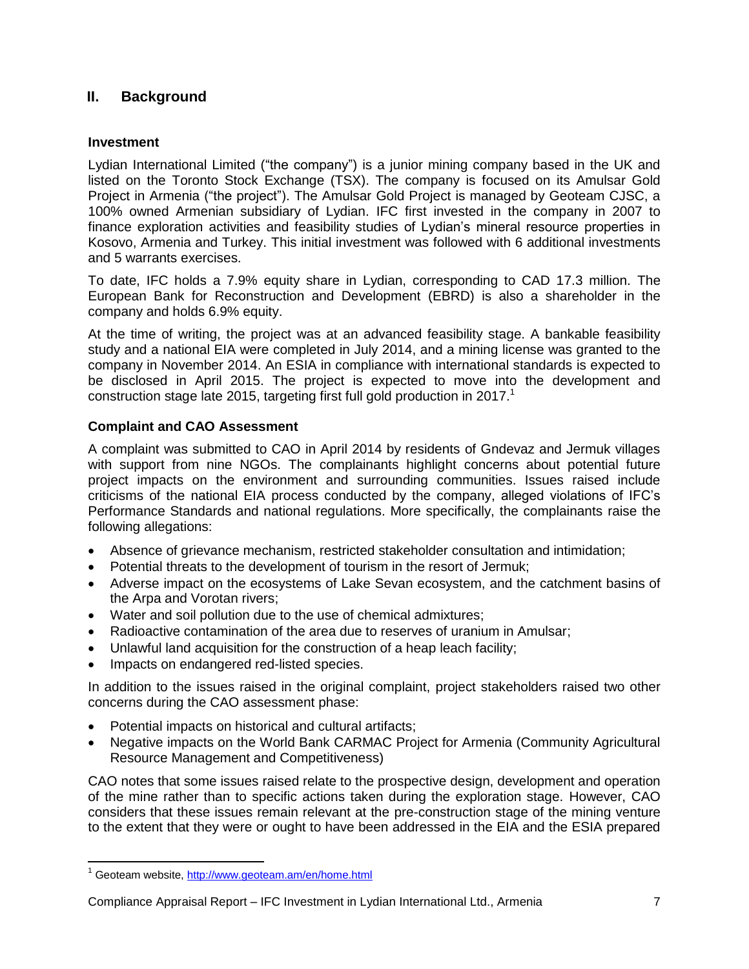## <span id="page-6-0"></span>**II. Background**

### <span id="page-6-1"></span>**Investment**

Lydian International Limited ("the company") is a junior mining company based in the UK and listed on the Toronto Stock Exchange (TSX). The company is focused on its Amulsar Gold Project in Armenia ("the project"). The Amulsar Gold Project is managed by Geoteam CJSC, a 100% owned Armenian subsidiary of Lydian. IFC first invested in the company in 2007 to finance exploration activities and feasibility studies of Lydian's mineral resource properties in Kosovo, Armenia and Turkey. This initial investment was followed with 6 additional investments and 5 warrants exercises.

To date, IFC holds a 7.9% equity share in Lydian, corresponding to CAD 17.3 million. The European Bank for Reconstruction and Development (EBRD) is also a shareholder in the company and holds 6.9% equity.

At the time of writing, the project was at an advanced feasibility stage. A bankable feasibility study and a national EIA were completed in July 2014, and a mining license was granted to the company in November 2014. An ESIA in compliance with international standards is expected to be disclosed in April 2015. The project is expected to move into the development and construction stage late 2015, targeting first full gold production in 2017.<sup>1</sup>

### <span id="page-6-2"></span>**Complaint and CAO Assessment**

A complaint was submitted to CAO in April 2014 by residents of Gndevaz and Jermuk villages with support from nine NGOs. The complainants highlight concerns about potential future project impacts on the environment and surrounding communities. Issues raised include criticisms of the national EIA process conducted by the company, alleged violations of IFC's Performance Standards and national regulations. More specifically, the complainants raise the following allegations:

- Absence of grievance mechanism, restricted stakeholder consultation and intimidation;
- Potential threats to the development of tourism in the resort of Jermuk;
- Adverse impact on the ecosystems of Lake Sevan ecosystem, and the catchment basins of the Arpa and Vorotan rivers;
- Water and soil pollution due to the use of chemical admixtures;
- Radioactive contamination of the area due to reserves of uranium in Amulsar;
- Unlawful land acquisition for the construction of a heap leach facility;
- Impacts on endangered red-listed species.

In addition to the issues raised in the original complaint, project stakeholders raised two other concerns during the CAO assessment phase:

- Potential impacts on historical and cultural artifacts;
- Negative impacts on the World Bank CARMAC Project for Armenia (Community Agricultural Resource Management and Competitiveness)

CAO notes that some issues raised relate to the prospective design, development and operation of the mine rather than to specific actions taken during the exploration stage. However, CAO considers that these issues remain relevant at the pre-construction stage of the mining venture to the extent that they were or ought to have been addressed in the EIA and the ESIA prepared

 $\overline{\phantom{a}}$ 

<sup>&</sup>lt;sup>1</sup> Geoteam website,<http://www.geoteam.am/en/home.html>

Compliance Appraisal Report – IFC Investment in Lydian International Ltd., Armenia 7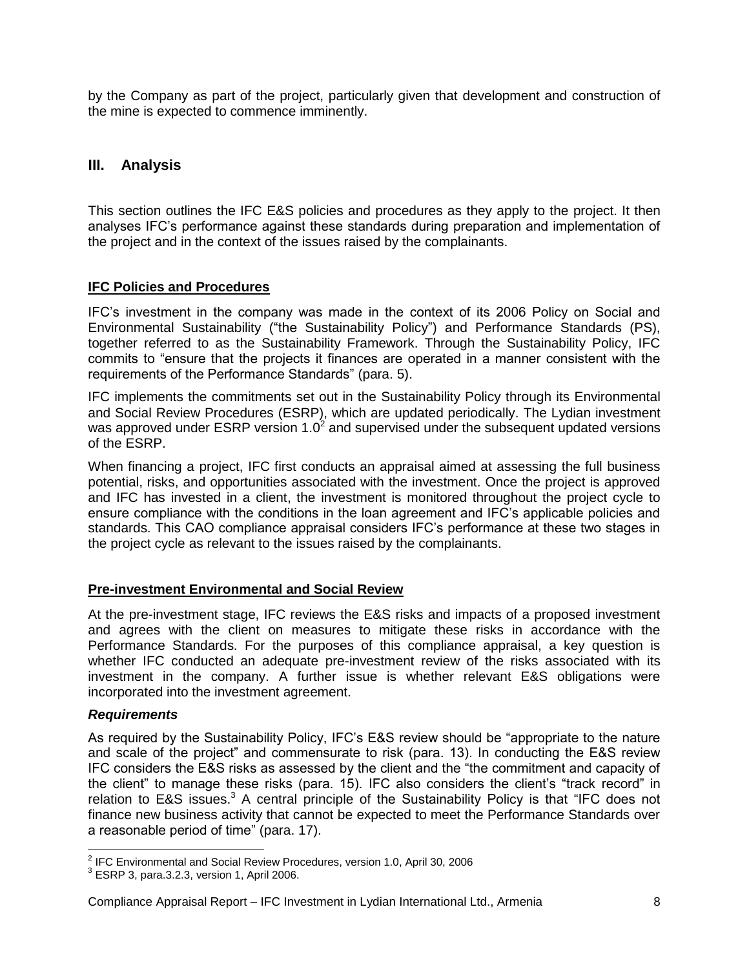by the Company as part of the project, particularly given that development and construction of the mine is expected to commence imminently.

## <span id="page-7-0"></span>**III. Analysis**

This section outlines the IFC E&S policies and procedures as they apply to the project. It then analyses IFC's performance against these standards during preparation and implementation of the project and in the context of the issues raised by the complainants.

#### <span id="page-7-1"></span>**IFC Policies and Procedures**

IFC's investment in the company was made in the context of its 2006 Policy on Social and Environmental Sustainability ("the Sustainability Policy") and Performance Standards (PS), together referred to as the Sustainability Framework. Through the Sustainability Policy, IFC commits to "ensure that the projects it finances are operated in a manner consistent with the requirements of the Performance Standards" (para. 5).

IFC implements the commitments set out in the Sustainability Policy through its Environmental and Social Review Procedures (ESRP), which are updated periodically. The Lydian investment was approved under ESRP version 1.0<sup>2</sup> and supervised under the subsequent updated versions of the ESRP.

When financing a project, IFC first conducts an appraisal aimed at assessing the full business potential, risks, and opportunities associated with the investment. Once the project is approved and IFC has invested in a client, the investment is monitored throughout the project cycle to ensure compliance with the conditions in the loan agreement and IFC's applicable policies and standards. This CAO compliance appraisal considers IFC's performance at these two stages in the project cycle as relevant to the issues raised by the complainants.

#### <span id="page-7-2"></span>**Pre-investment Environmental and Social Review**

At the pre-investment stage, IFC reviews the E&S risks and impacts of a proposed investment and agrees with the client on measures to mitigate these risks in accordance with the Performance Standards. For the purposes of this compliance appraisal, a key question is whether IFC conducted an adequate pre-investment review of the risks associated with its investment in the company. A further issue is whether relevant E&S obligations were incorporated into the investment agreement.

#### <span id="page-7-3"></span>*Requirements*

As required by the Sustainability Policy, IFC's E&S review should be "appropriate to the nature and scale of the project" and commensurate to risk (para. 13). In conducting the E&S review IFC considers the E&S risks as assessed by the client and the "the commitment and capacity of the client" to manage these risks (para. 15). IFC also considers the client's "track record" in relation to  $EAS$  issues.<sup>3</sup> A central principle of the Sustainability Policy is that "IFC does not finance new business activity that cannot be expected to meet the Performance Standards over a reasonable period of time" (para. 17).

 2 IFC Environmental and Social Review Procedures, version 1.0, April 30, 2006

 $3$  ESRP 3, para.3.2.3, version 1, April 2006.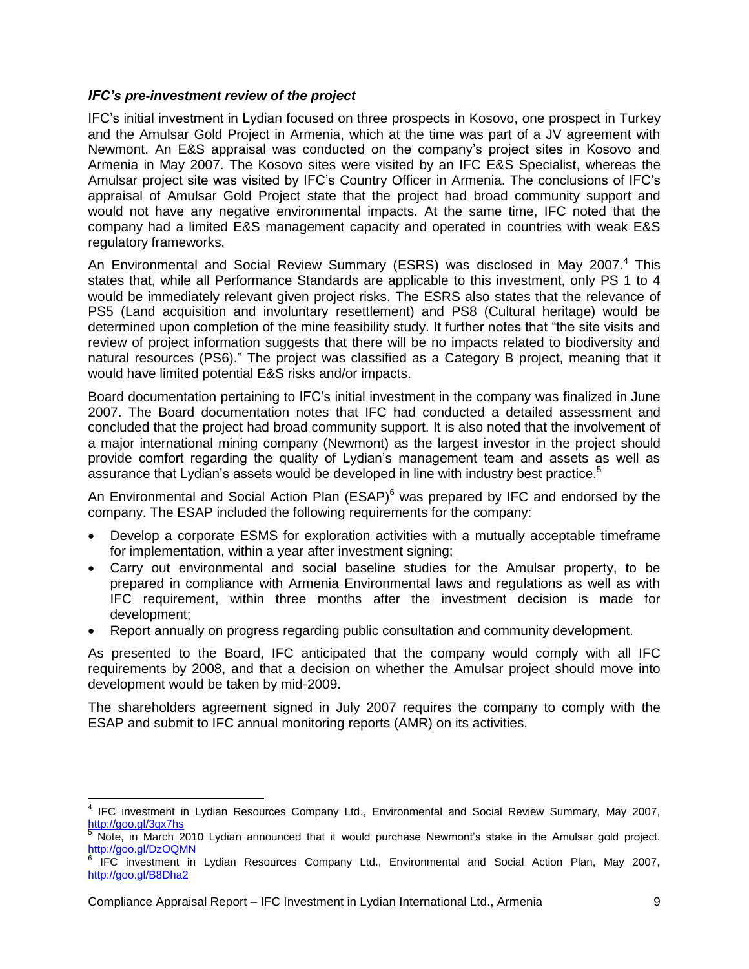#### *IFC's pre-investment review of the project*

IFC's initial investment in Lydian focused on three prospects in Kosovo, one prospect in Turkey and the Amulsar Gold Project in Armenia, which at the time was part of a JV agreement with Newmont. An E&S appraisal was conducted on the company's project sites in Kosovo and Armenia in May 2007. The Kosovo sites were visited by an IFC E&S Specialist, whereas the Amulsar project site was visited by IFC's Country Officer in Armenia. The conclusions of IFC's appraisal of Amulsar Gold Project state that the project had broad community support and would not have any negative environmental impacts. At the same time, IFC noted that the company had a limited E&S management capacity and operated in countries with weak E&S regulatory frameworks.

An Environmental and Social Review Summary (ESRS) was disclosed in May 2007.<sup>4</sup> This states that, while all Performance Standards are applicable to this investment, only PS 1 to 4 would be immediately relevant given project risks. The ESRS also states that the relevance of PS5 (Land acquisition and involuntary resettlement) and PS8 (Cultural heritage) would be determined upon completion of the mine feasibility study. It further notes that "the site visits and review of project information suggests that there will be no impacts related to biodiversity and natural resources (PS6)." The project was classified as a Category B project, meaning that it would have limited potential E&S risks and/or impacts.

Board documentation pertaining to IFC's initial investment in the company was finalized in June 2007. The Board documentation notes that IFC had conducted a detailed assessment and concluded that the project had broad community support. It is also noted that the involvement of a major international mining company (Newmont) as the largest investor in the project should provide comfort regarding the quality of Lydian's management team and assets as well as assurance that Lydian's assets would be developed in line with industry best practice. 5

An Environmental and Social Action Plan  $(ESAP)^6$  was prepared by IFC and endorsed by the company. The ESAP included the following requirements for the company:

- Develop a corporate ESMS for exploration activities with a mutually acceptable timeframe for implementation, within a year after investment signing;
- Carry out environmental and social baseline studies for the Amulsar property, to be prepared in compliance with Armenia Environmental laws and regulations as well as with IFC requirement, within three months after the investment decision is made for development;
- Report annually on progress regarding public consultation and community development.

As presented to the Board, IFC anticipated that the company would comply with all IFC requirements by 2008, and that a decision on whether the Amulsar project should move into development would be taken by mid-2009.

The shareholders agreement signed in July 2007 requires the company to comply with the ESAP and submit to IFC annual monitoring reports (AMR) on its activities.

 $\overline{\phantom{a}}$ 

<sup>&</sup>lt;sup>4</sup> IFC investment in Lydian Resources Company Ltd., Environmental and Social Review Summary, May 2007, <http://goo.gl/3qx7hs>

<sup>5</sup> Note, in March 2010 Lydian announced that it would purchase Newmont's stake in the Amulsar gold project. <http://goo.gl/DzOQMN><br><sup>6</sup> IEC investment in

IFC investment in Lydian Resources Company Ltd., Environmental and Social Action Plan, May 2007, <http://goo.gl/B8Dha2>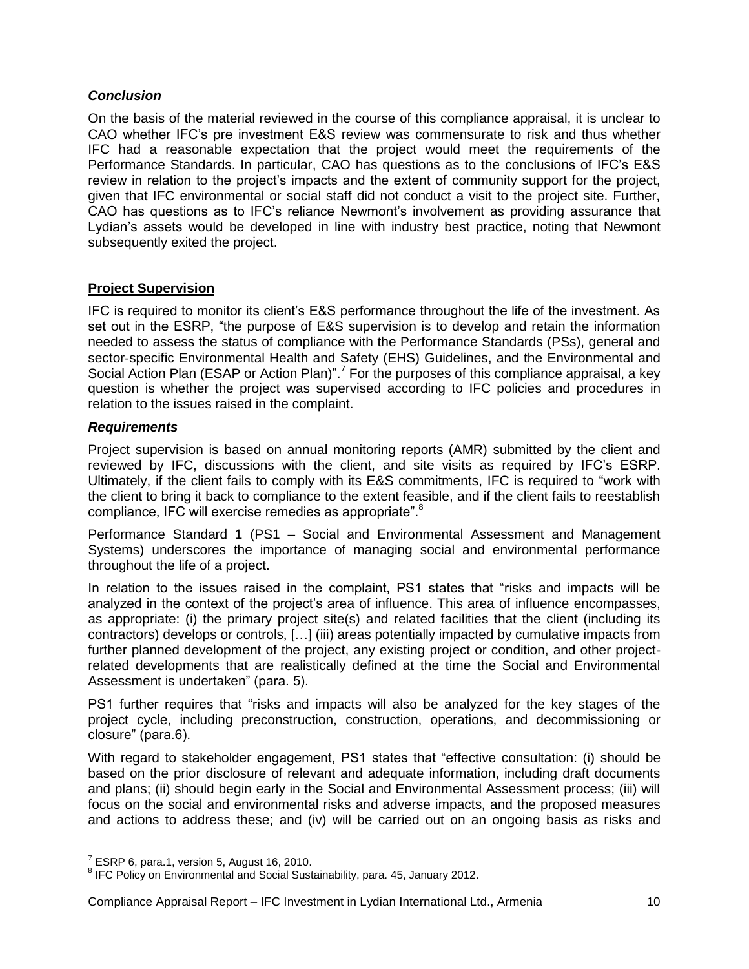#### <span id="page-9-0"></span>*Conclusion*

On the basis of the material reviewed in the course of this compliance appraisal, it is unclear to CAO whether IFC's pre investment E&S review was commensurate to risk and thus whether IFC had a reasonable expectation that the project would meet the requirements of the Performance Standards. In particular, CAO has questions as to the conclusions of IFC's E&S review in relation to the project's impacts and the extent of community support for the project, given that IFC environmental or social staff did not conduct a visit to the project site. Further, CAO has questions as to IFC's reliance Newmont's involvement as providing assurance that Lydian's assets would be developed in line with industry best practice, noting that Newmont subsequently exited the project.

#### <span id="page-9-1"></span>**Project Supervision**

IFC is required to monitor its client's E&S performance throughout the life of the investment. As set out in the ESRP, "the purpose of E&S supervision is to develop and retain the information needed to assess the status of compliance with the Performance Standards (PSs), general and sector-specific Environmental Health and Safety (EHS) Guidelines, and the Environmental and Social Action Plan (ESAP or Action Plan)".<sup>7</sup> For the purposes of this compliance appraisal, a key question is whether the project was supervised according to IFC policies and procedures in relation to the issues raised in the complaint.

#### <span id="page-9-2"></span>*Requirements*

Project supervision is based on annual monitoring reports (AMR) submitted by the client and reviewed by IFC, discussions with the client, and site visits as required by IFC's ESRP. Ultimately, if the client fails to comply with its E&S commitments, IFC is required to "work with the client to bring it back to compliance to the extent feasible, and if the client fails to reestablish compliance, IFC will exercise remedies as appropriate".<sup>8</sup>

Performance Standard 1 (PS1 – Social and Environmental Assessment and Management Systems) underscores the importance of managing social and environmental performance throughout the life of a project.

In relation to the issues raised in the complaint, PS1 states that "risks and impacts will be analyzed in the context of the project's area of influence. This area of influence encompasses, as appropriate: (i) the primary project site(s) and related facilities that the client (including its contractors) develops or controls, […] (iii) areas potentially impacted by cumulative impacts from further planned development of the project, any existing project or condition, and other projectrelated developments that are realistically defined at the time the Social and Environmental Assessment is undertaken" (para. 5).

PS1 further requires that "risks and impacts will also be analyzed for the key stages of the project cycle, including preconstruction, construction, operations, and decommissioning or closure" (para.6).

With regard to stakeholder engagement, PS1 states that "effective consultation: (i) should be based on the prior disclosure of relevant and adequate information, including draft documents and plans; (ii) should begin early in the Social and Environmental Assessment process; (iii) will focus on the social and environmental risks and adverse impacts, and the proposed measures and actions to address these; and (iv) will be carried out on an ongoing basis as risks and

 7 ESRP 6, para.1, version 5, August 16, 2010.

<sup>&</sup>lt;sup>8</sup> IFC Policy on Environmental and Social Sustainability, para. 45, January 2012.

Compliance Appraisal Report – IFC Investment in Lydian International Ltd., Armenia 10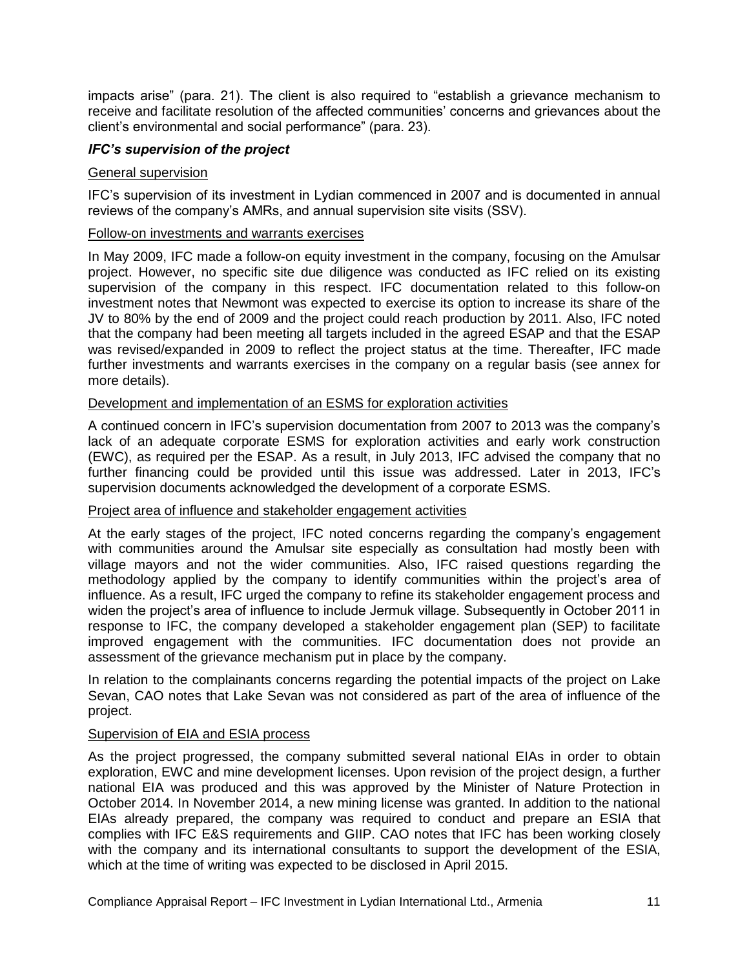impacts arise" (para. 21). The client is also required to "establish a grievance mechanism to receive and facilitate resolution of the affected communities' concerns and grievances about the client's environmental and social performance" (para. 23).

#### <span id="page-10-0"></span>*IFC's supervision of the project*

#### General supervision

IFC's supervision of its investment in Lydian commenced in 2007 and is documented in annual reviews of the company's AMRs, and annual supervision site visits (SSV).

#### Follow-on investments and warrants exercises

In May 2009, IFC made a follow-on equity investment in the company, focusing on the Amulsar project. However, no specific site due diligence was conducted as IFC relied on its existing supervision of the company in this respect. IFC documentation related to this follow-on investment notes that Newmont was expected to exercise its option to increase its share of the JV to 80% by the end of 2009 and the project could reach production by 2011. Also, IFC noted that the company had been meeting all targets included in the agreed ESAP and that the ESAP was revised/expanded in 2009 to reflect the project status at the time. Thereafter, IFC made further investments and warrants exercises in the company on a regular basis (see annex for more details).

#### Development and implementation of an ESMS for exploration activities

A continued concern in IFC's supervision documentation from 2007 to 2013 was the company's lack of an adequate corporate ESMS for exploration activities and early work construction (EWC), as required per the ESAP. As a result, in July 2013, IFC advised the company that no further financing could be provided until this issue was addressed. Later in 2013, IFC's supervision documents acknowledged the development of a corporate ESMS.

#### Project area of influence and stakeholder engagement activities

At the early stages of the project, IFC noted concerns regarding the company's engagement with communities around the Amulsar site especially as consultation had mostly been with village mayors and not the wider communities. Also, IFC raised questions regarding the methodology applied by the company to identify communities within the project's area of influence. As a result, IFC urged the company to refine its stakeholder engagement process and widen the project's area of influence to include Jermuk village. Subsequently in October 2011 in response to IFC, the company developed a stakeholder engagement plan (SEP) to facilitate improved engagement with the communities. IFC documentation does not provide an assessment of the grievance mechanism put in place by the company.

In relation to the complainants concerns regarding the potential impacts of the project on Lake Sevan, CAO notes that Lake Sevan was not considered as part of the area of influence of the project.

#### Supervision of EIA and ESIA process

As the project progressed, the company submitted several national EIAs in order to obtain exploration, EWC and mine development licenses. Upon revision of the project design, a further national EIA was produced and this was approved by the Minister of Nature Protection in October 2014. In November 2014, a new mining license was granted. In addition to the national EIAs already prepared, the company was required to conduct and prepare an ESIA that complies with IFC E&S requirements and GIIP. CAO notes that IFC has been working closely with the company and its international consultants to support the development of the ESIA, which at the time of writing was expected to be disclosed in April 2015.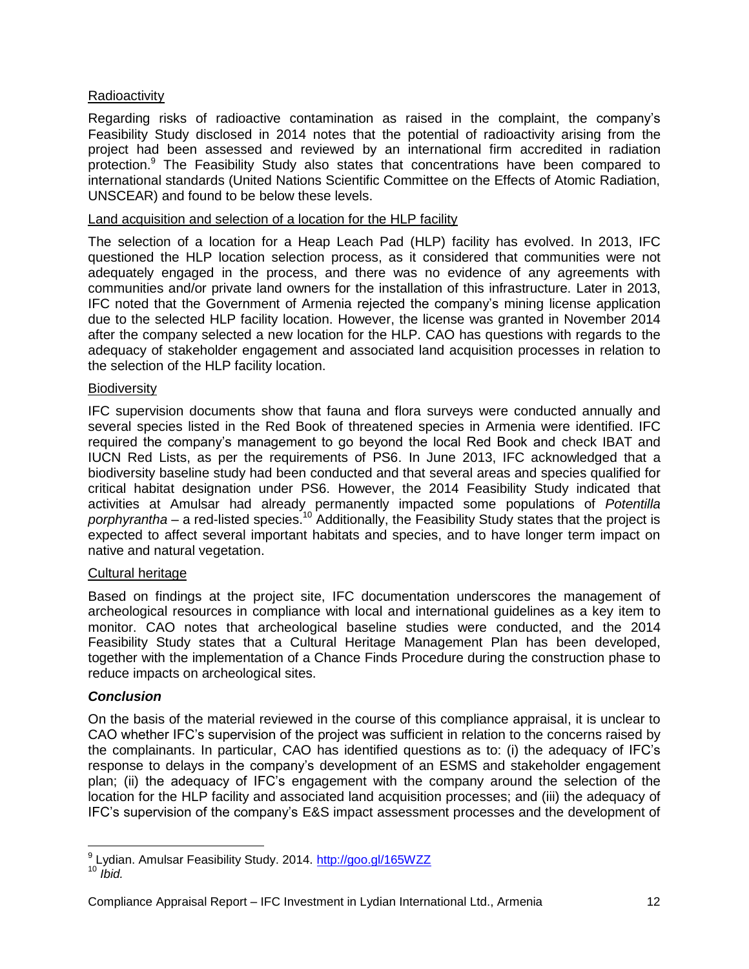#### Radioactivity

Regarding risks of radioactive contamination as raised in the complaint, the company's Feasibility Study disclosed in 2014 notes that the potential of radioactivity arising from the project had been assessed and reviewed by an international firm accredited in radiation protection.<sup>9</sup> The Feasibility Study also states that concentrations have been compared to international standards (United Nations Scientific Committee on the Effects of Atomic Radiation, UNSCEAR) and found to be below these levels.

#### Land acquisition and selection of a location for the HLP facility

The selection of a location for a Heap Leach Pad (HLP) facility has evolved. In 2013, IFC questioned the HLP location selection process, as it considered that communities were not adequately engaged in the process, and there was no evidence of any agreements with communities and/or private land owners for the installation of this infrastructure. Later in 2013, IFC noted that the Government of Armenia rejected the company's mining license application due to the selected HLP facility location. However, the license was granted in November 2014 after the company selected a new location for the HLP. CAO has questions with regards to the adequacy of stakeholder engagement and associated land acquisition processes in relation to the selection of the HLP facility location.

#### **Biodiversity**

IFC supervision documents show that fauna and flora surveys were conducted annually and several species listed in the Red Book of threatened species in Armenia were identified. IFC required the company's management to go beyond the local Red Book and check IBAT and IUCN Red Lists, as per the requirements of PS6. In June 2013, IFC acknowledged that a biodiversity baseline study had been conducted and that several areas and species qualified for critical habitat designation under PS6. However, the 2014 Feasibility Study indicated that activities at Amulsar had already permanently impacted some populations of *Potentilla porphyrantha* – a red-listed species. <sup>10</sup> Additionally, the Feasibility Study states that the project is expected to affect several important habitats and species, and to have longer term impact on native and natural vegetation.

#### Cultural heritage

Based on findings at the project site, IFC documentation underscores the management of archeological resources in compliance with local and international guidelines as a key item to monitor. CAO notes that archeological baseline studies were conducted, and the 2014 Feasibility Study states that a Cultural Heritage Management Plan has been developed, together with the implementation of a Chance Finds Procedure during the construction phase to reduce impacts on archeological sites.

#### <span id="page-11-0"></span>*Conclusion*

On the basis of the material reviewed in the course of this compliance appraisal, it is unclear to CAO whether IFC's supervision of the project was sufficient in relation to the concerns raised by the complainants. In particular, CAO has identified questions as to: (i) the adequacy of IFC's response to delays in the company's development of an ESMS and stakeholder engagement plan; (ii) the adequacy of IFC's engagement with the company around the selection of the location for the HLP facility and associated land acquisition processes; and (iii) the adequacy of IFC's supervision of the company's E&S impact assessment processes and the development of

 $\overline{\phantom{a}}$ <sup>9</sup> Lydian. Amulsar Feasibility Study. 2014.<http://goo.gl/165WZZ>  $10$  *<i>bid.* 

Compliance Appraisal Report – IFC Investment in Lydian International Ltd., Armenia 12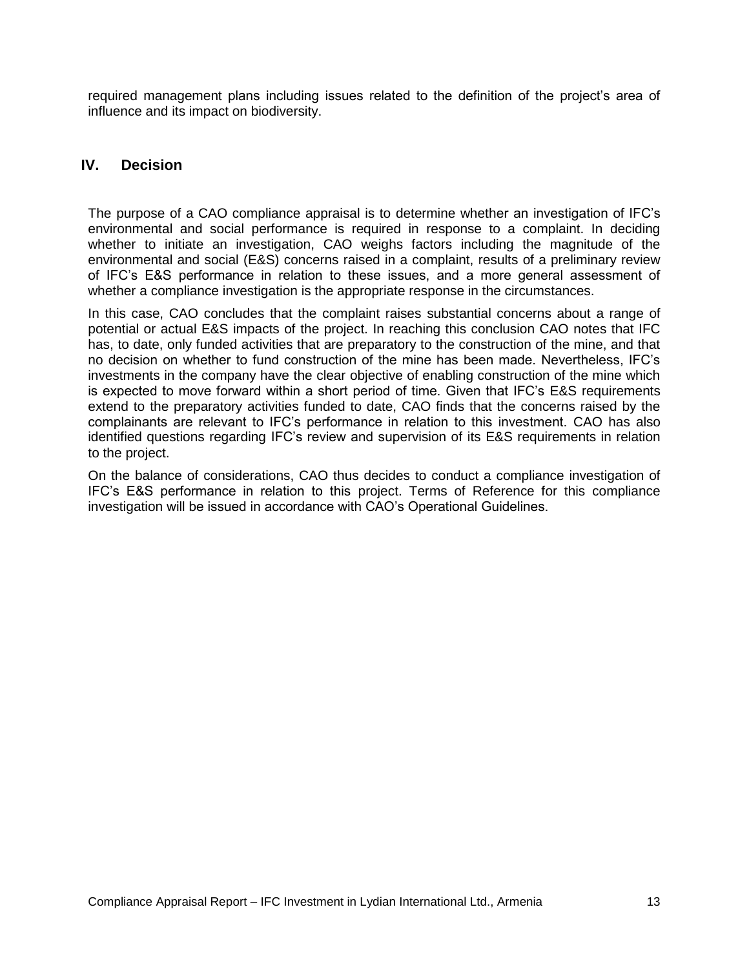required management plans including issues related to the definition of the project's area of influence and its impact on biodiversity.

## <span id="page-12-0"></span>**IV. Decision**

The purpose of a CAO compliance appraisal is to determine whether an investigation of IFC's environmental and social performance is required in response to a complaint. In deciding whether to initiate an investigation, CAO weighs factors including the magnitude of the environmental and social (E&S) concerns raised in a complaint, results of a preliminary review of IFC's E&S performance in relation to these issues, and a more general assessment of whether a compliance investigation is the appropriate response in the circumstances.

In this case, CAO concludes that the complaint raises substantial concerns about a range of potential or actual E&S impacts of the project. In reaching this conclusion CAO notes that IFC has, to date, only funded activities that are preparatory to the construction of the mine, and that no decision on whether to fund construction of the mine has been made. Nevertheless, IFC's investments in the company have the clear objective of enabling construction of the mine which is expected to move forward within a short period of time. Given that IFC's E&S requirements extend to the preparatory activities funded to date, CAO finds that the concerns raised by the complainants are relevant to IFC's performance in relation to this investment. CAO has also identified questions regarding IFC's review and supervision of its E&S requirements in relation to the project.

On the balance of considerations, CAO thus decides to conduct a compliance investigation of IFC's E&S performance in relation to this project. Terms of Reference for this compliance investigation will be issued in accordance with CAO's Operational Guidelines.